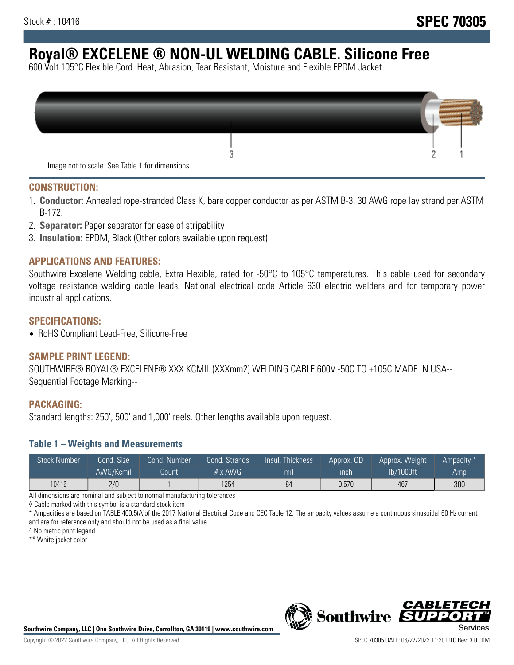# **Royal® EXCELENE ® NON-UL WELDING CABLE. Silicone Free**

600 Volt 105°C Flexible Cord. Heat, Abrasion, Tear Resistant, Moisture and Flexible EPDM Jacket.

| Image not to scale. See Table 1 for dimensions. |  |
|-------------------------------------------------|--|

#### **CONSTRUCTION:**

- 1. **Conductor:** Annealed rope-stranded Class K, bare copper conductor as per ASTM B-3. 30 AWG rope lay strand per ASTM B-172.
- 2. **Separator:** Paper separator for ease of stripability
- 3. **Insulation:** EPDM, Black (Other colors available upon request)

### **APPLICATIONS AND FEATURES:**

Southwire Excelene Welding cable, Extra Flexible, rated for -50°C to 105°C temperatures. This cable used for secondary voltage resistance welding cable leads, National electrical code Article 630 electric welders and for temporary power industrial applications.

#### **SPECIFICATIONS:**

• RoHS Compliant Lead-Free, Silicone-Free

#### **SAMPLE PRINT LEGEND:**

SOUTHWIRE® ROYAL® EXCELENE® XXX KCMIL (XXXmm2) WELDING CABLE 600V -50C TO +105C MADE IN USA-- Sequential Footage Marking--

#### **PACKAGING:**

Standard lengths: 250', 500' and 1,000' reels. Other lengths available upon request.

#### **Table 1 – Weights and Measurements**

| <b>Stock Number</b> | Cond. Size | Cond. Number | Cond. Strands   | Insul. Thickness | Approx. OD | Approx. Weight | Ampacity <sup>*</sup> |
|---------------------|------------|--------------|-----------------|------------------|------------|----------------|-----------------------|
|                     | AWG/Kcmil  | Count        | $# \times$ AWG. | mı               | inch       | lb/1000ft      | Amp                   |
| 10416               | 2/0        |              | 1254            | 84               | 0.570      | 467            | 300                   |

All dimensions are nominal and subject to normal manufacturing tolerances

◊ Cable marked with this symbol is a standard stock item

\* Ampacities are based on TABLE 400.5(A)of the 2017 National Electrical Code and CEC Table 12. The ampacity values assume a continuous sinusoidal 60 Hz current and are for reference only and should not be used as a final value.

^ No metric print legend

\*\* White jacket color



*CABLE*